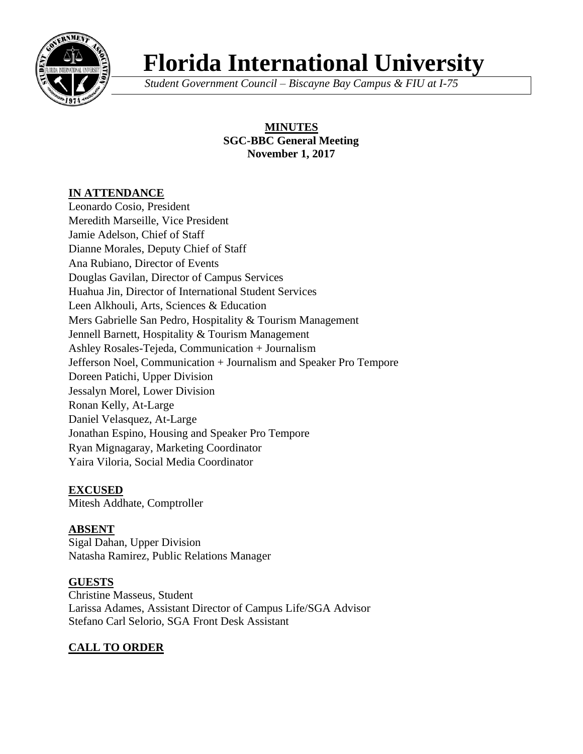

# **Florida International University**

*Student Government Council – Biscayne Bay Campus & FIU at I-75*

## **MINUTES SGC-BBC General Meeting November 1, 2017**

# **IN ATTENDANCE**

Leonardo Cosio, President Meredith Marseille, Vice President Jamie Adelson, Chief of Staff Dianne Morales, Deputy Chief of Staff Ana Rubiano, Director of Events Douglas Gavilan, Director of Campus Services Huahua Jin, Director of International Student Services Leen Alkhouli, Arts, Sciences & Education Mers Gabrielle San Pedro, Hospitality & Tourism Management Jennell Barnett, Hospitality & Tourism Management Ashley Rosales-Tejeda, Communication + Journalism Jefferson Noel, Communication + Journalism and Speaker Pro Tempore Doreen Patichi, Upper Division Jessalyn Morel, Lower Division Ronan Kelly, At-Large Daniel Velasquez, At-Large Jonathan Espino, Housing and Speaker Pro Tempore Ryan Mignagaray, Marketing Coordinator Yaira Viloria, Social Media Coordinator

#### **EXCUSED**

Mitesh Addhate, Comptroller

# **ABSENT**

Sigal Dahan, Upper Division Natasha Ramirez, Public Relations Manager

# **GUESTS**

Christine Masseus, Student Larissa Adames, Assistant Director of Campus Life/SGA Advisor Stefano Carl Selorio, SGA Front Desk Assistant

# **CALL TO ORDER**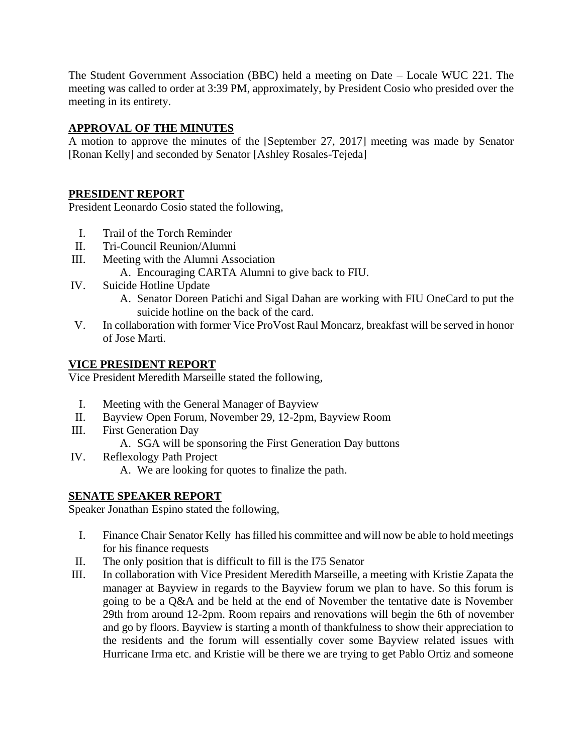The Student Government Association (BBC) held a meeting on Date – Locale WUC 221. The meeting was called to order at 3:39 PM, approximately, by President Cosio who presided over the meeting in its entirety.

## **APPROVAL OF THE MINUTES**

A motion to approve the minutes of the [September 27, 2017] meeting was made by Senator [Ronan Kelly] and seconded by Senator [Ashley Rosales-Tejeda]

#### **PRESIDENT REPORT**

President Leonardo Cosio stated the following,

- I. Trail of the Torch Reminder
- II. Tri-Council Reunion/Alumni
- III. Meeting with the Alumni Association
	- A. Encouraging CARTA Alumni to give back to FIU.
- IV. Suicide Hotline Update
	- A. Senator Doreen Patichi and Sigal Dahan are working with FIU OneCard to put the suicide hotline on the back of the card.
- V. In collaboration with former Vice ProVost Raul Moncarz, breakfast will be served in honor of Jose Marti.

#### **VICE PRESIDENT REPORT**

Vice President Meredith Marseille stated the following,

- I. Meeting with the General Manager of Bayview
- II. Bayview Open Forum, November 29, 12-2pm, Bayview Room
- III. First Generation Day
	- A. SGA will be sponsoring the First Generation Day buttons
- IV. Reflexology Path Project
	- A. We are looking for quotes to finalize the path.

#### **SENATE SPEAKER REPORT**

Speaker Jonathan Espino stated the following,

- I. Finance Chair Senator Kelly has filled his committee and will now be able to hold meetings for his finance requests
- II. The only position that is difficult to fill is the I75 Senator
- III. In collaboration with Vice President Meredith Marseille, a meeting with Kristie Zapata the manager at Bayview in regards to the Bayview forum we plan to have. So this forum is going to be a Q&A and be held at the end of November the tentative date is November 29th from around 12-2pm. Room repairs and renovations will begin the 6th of november and go by floors. Bayview is starting a month of thankfulness to show their appreciation to the residents and the forum will essentially cover some Bayview related issues with Hurricane Irma etc. and Kristie will be there we are trying to get Pablo Ortiz and someone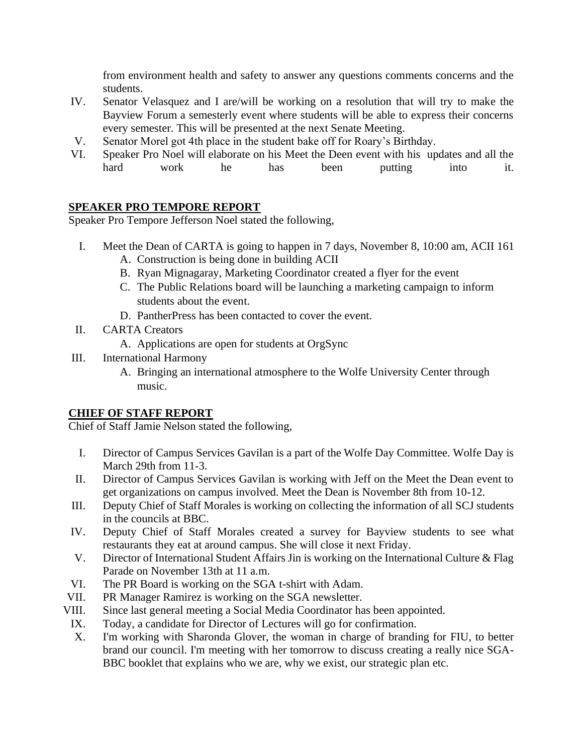from environment health and safety to answer any questions comments concerns and the students.

- IV. Senator Velasquez and I are/will be working on a resolution that will try to make the Bayview Forum a semesterly event where students will be able to express their concerns every semester. This will be presented at the next Senate Meeting.
- V. Senator Morel got 4th place in the student bake off for Roary's Birthday.
- VI. Speaker Pro Noel will elaborate on his Meet the Deen event with his updates and all the hard work he has been putting into it.

## **SPEAKER PRO TEMPORE REPORT**

Speaker Pro Tempore Jefferson Noel stated the following,

- I. Meet the Dean of CARTA is going to happen in 7 days, November 8, 10:00 am, ACII 161 A. Construction is being done in building ACII
	- B. Ryan Mignagaray, Marketing Coordinator created a flyer for the event
	- C. The Public Relations board will be launching a marketing campaign to inform students about the event.
	- D. PantherPress has been contacted to cover the event.
- II. CARTA Creators
	- A. Applications are open for students at OrgSync
- III. International Harmony
	- A. Bringing an international atmosphere to the Wolfe University Center through music.

# **CHIEF OF STAFF REPORT**

Chief of Staff Jamie Nelson stated the following,

- I. Director of Campus Services Gavilan is a part of the Wolfe Day Committee. Wolfe Day is March 29th from 11-3.
- II. Director of Campus Services Gavilan is working with Jeff on the Meet the Dean event to get organizations on campus involved. Meet the Dean is November 8th from 10-12.
- III. Deputy Chief of Staff Morales is working on collecting the information of all SCJ students in the councils at BBC.
- IV. Deputy Chief of Staff Morales created a survey for Bayview students to see what restaurants they eat at around campus. She will close it next Friday.
- V. Director of International Student Affairs Jin is working on the International Culture & Flag Parade on November 13th at 11 a.m.
- VI. The PR Board is working on the SGA t-shirt with Adam.
- VII. PR Manager Ramirez is working on the SGA newsletter.
- VIII. Since last general meeting a Social Media Coordinator has been appointed.
- IX. Today, a candidate for Director of Lectures will go for confirmation.
	- X. I'm working with Sharonda Glover, the woman in charge of branding for FIU, to better brand our council. I'm meeting with her tomorrow to discuss creating a really nice SGA-BBC booklet that explains who we are, why we exist, our strategic plan etc.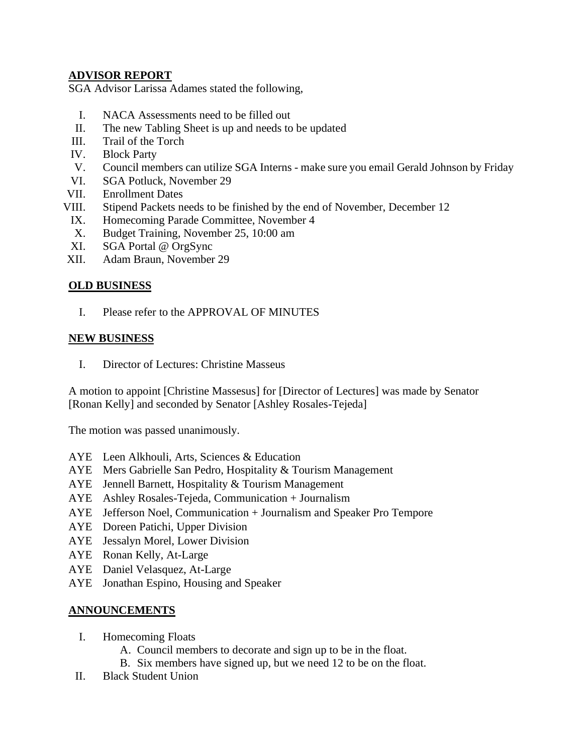#### **ADVISOR REPORT**

SGA Advisor Larissa Adames stated the following,

- I. NACA Assessments need to be filled out
- II. The new Tabling Sheet is up and needs to be updated
- III. Trail of the Torch
- IV. Block Party
- V. Council members can utilize SGA Interns make sure you email Gerald Johnson by Friday
- VI. SGA Potluck, November 29
- VII. Enrollment Dates
- VIII. Stipend Packets needs to be finished by the end of November, December 12
- IX. Homecoming Parade Committee, November 4
- X. Budget Training, November 25, 10:00 am
- XI. SGA Portal @ OrgSync
- XII. Adam Braun, November 29

#### **OLD BUSINESS**

I. Please refer to the APPROVAL OF MINUTES

#### **NEW BUSINESS**

I. Director of Lectures: Christine Masseus

A motion to appoint [Christine Massesus] for [Director of Lectures] was made by Senator [Ronan Kelly] and seconded by Senator [Ashley Rosales-Tejeda]

The motion was passed unanimously.

- AYE Leen Alkhouli, Arts, Sciences & Education
- AYE Mers Gabrielle San Pedro, Hospitality & Tourism Management
- AYE Jennell Barnett, Hospitality & Tourism Management
- AYE Ashley Rosales-Tejeda, Communication + Journalism
- AYE Jefferson Noel, Communication + Journalism and Speaker Pro Tempore
- AYE Doreen Patichi, Upper Division
- AYE Jessalyn Morel, Lower Division
- AYE Ronan Kelly, At-Large
- AYE Daniel Velasquez, At-Large
- AYE Jonathan Espino, Housing and Speaker

#### **ANNOUNCEMENTS**

- I. Homecoming Floats
	- A. Council members to decorate and sign up to be in the float.
	- B. Six members have signed up, but we need 12 to be on the float.
- II. Black Student Union